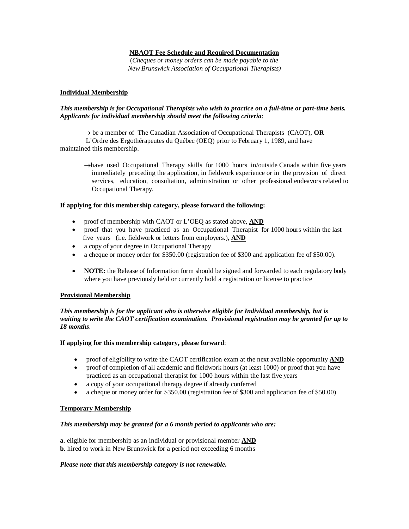## **NBAOT Fee Schedule and Required Documentation**

(*Cheques or money orders can be made payable to the New Brunswick Association of Occupational Therapists)*

#### **Individual Membership**

#### *This membership is for Occupational Therapists who wish to practice on a full-time or part-time basis. Applicants for individual membership should meet the following criteria*:

 $\rightarrow$  be a member of The Canadian Association of Occupational Therapists (CAOT), **OR** 

 L'Ordre des Ergothérapeutes du Québec (OEQ) prior to February 1, 1989, and have maintained this membership.

 $\rightarrow$ have used Occupational Therapy skills for 1000 hours in/outside Canada within five years immediately preceding the application, in fieldwork experience or in the provision of direct services, education, consultation, administration or other professional endeavors related to Occupational Therapy.

#### **If applying for this membership category, please forward the following:**

- proof of membership with CAOT or L'OEQ as stated above, **AND**
- proof that you have practiced as an Occupational Therapist for 1000 hours within the last five years (i.e. fieldwork or letters from employers.), **AND**
- a copy of your degree in Occupational Therapy
- a cheque or money order for \$350.00 (registration fee of \$300 and application fee of \$50.00).
- **NOTE:** the Release of Information form should be signed and forwarded to each regulatory body where you have previously held or currently hold a registration or license to practice

## **Provisional Membership**

*This membership is for the applicant who is otherwise eligible for Individual membership, but is waiting to write the CAOT certification examination. Provisional registration may be granted for up to 18 months*.

## **If applying for this membership category, please forward**:

- proof of eligibility to write the CAOT certification exam at the next available opportunity **AND**
- proof of completion of all academic and fieldwork hours (at least 1000) or proof that you have
- practiced as an occupational therapist for 1000 hours within the last five years a copy of your occupational therapy degree if already conferred
- a cheque or money order for \$350.00 (registration fee of \$300 and application fee of \$50.00)

## **Temporary Membership**

## *This membership may be granted for a 6 month period to applicants who are:*

**a**. eligible for membership as an individual or provisional member **AND b**. hired to work in New Brunswick for a period not exceeding 6 months

## *Please note that this membership category is not renewable.*